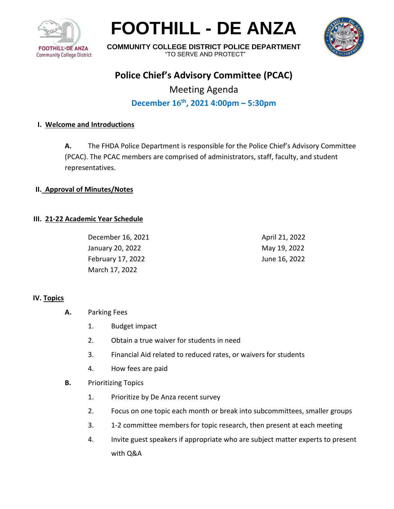

**FOOTHILL - DE ANZA** 



**COMMUNITY COLLEGE DISTRICT POLICE DEPARTMENT**  "TO SERVE AND PROTECT"

## **Police Chief's Advisory Committee (PCAC)**

# Meeting Agenda **December 16 th , 2021 4:00pm – 5:30pm**

### **I. Welcome and Introductions**

**A.** The FHDA Police Department is responsible for the Police Chief's Advisory Committee (PCAC). The PCAC members are comprised of administrators, staff, faculty, and student representatives.

#### **II. Approval of Minutes/Notes**

#### **III. 21-22 Academic Year Schedule**

December 16, 2021 January 20, 2022 February 17, 2022 March 17, 2022

April 21, 2022 May 19, 2022 June 16, 2022

#### **IV. Topics**

- **A.** Parking Fees
	- 1. Budget impact
	- 2. Obtain a true waiver for students in need
	- 3. Financial Aid related to reduced rates, or waivers for students
	- 4. How fees are paid
- **B.** Prioritizing Topics
	- 1. Prioritize by De Anza recent survey
	- 2. Focus on one topic each month or break into subcommittees, smaller groups
	- 3. 1-2 committee members for topic research, then present at each meeting
	- 4. Invite guest speakers if appropriate who are subject matter experts to present with Q&A